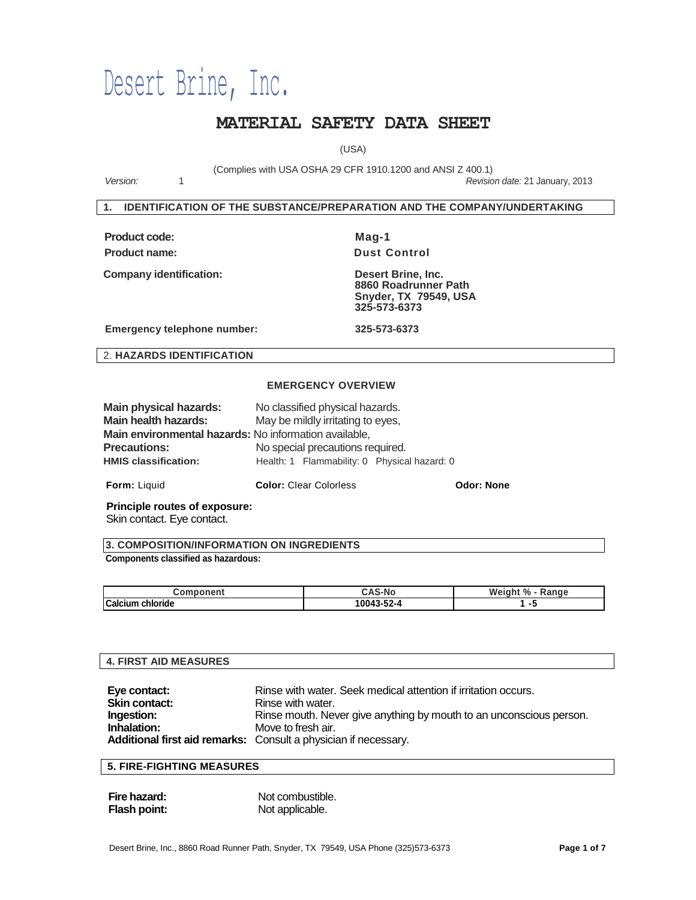# Desert Brine, Inc.

# **MATERIAL SAFETY DATA SHEET**

(USA)

(Complies with USA OSHA 29 CFR 1910.1200 and ANSI Z 400.1)

*Version:* 1 *Revision date:* 21 January, 2013

#### **1. IDENTIFICATION OF THE SUBSTANCE/PREPARATION AND THE COMPANY/UNDERTAKING**

| <b>Product code:</b> |  |
|----------------------|--|
| <b>Product name:</b> |  |

**Mag-1 Pust Control** 

**Company identification: Desert Brine, Inc.**

 **8860 Roadrunner Path Snyder, TX 79549, USA 325-573-6373**

**Emergency telephone number: 325-573-6373**

2. **HAZARDS IDENTIFICATION**

#### **EMERGENCY OVERVIEW**

| <b>Form:</b> Liquid                                   | <b>Color: Clear Colorless</b>                | <b>Odor: None</b> |
|-------------------------------------------------------|----------------------------------------------|-------------------|
| <b>HMIS classification:</b>                           | Health: 1 Flammability: 0 Physical hazard: 0 |                   |
| <b>Precautions:</b>                                   | No special precautions required.             |                   |
| Main environmental hazards: No information available, |                                              |                   |
| Main health hazards:                                  | May be mildly irritating to eyes,            |                   |
| Main physical hazards:                                | No classified physical hazards.              |                   |

**Principle routes of exposure:**

Skin contact. Eye contact.

**3. COMPOSITION/INFORMATION ON INGREDIENTS** 

#### **Components classified as hazardous:**

| omr.<br>,,,,,<br>יווש        |            | Weight<br>$\Omega$<br>'anαe<br>70<br>nai |
|------------------------------|------------|------------------------------------------|
| <b>Calcium</b><br>`chloride` | 10043-52-4 |                                          |

# **4. FIRST AID MEASURES Eye contact:** Rinse with water. Seek medical attention if irritation occurs.<br> **Skin contact:** Rinse with water. **Rinse with water. Ingestion:** Rinse mouth. Never give anything by mouth to an unconscious person.<br> **Inhalation:** Move to fresh air. Move to fresh air. **Additional first aid remarks:** Consult a physician if necessary.

# **5. FIRE-FIGHTING MEASURES**

| Fire hazard: | Not combustible. |
|--------------|------------------|
| Flash point: | Not applicable.  |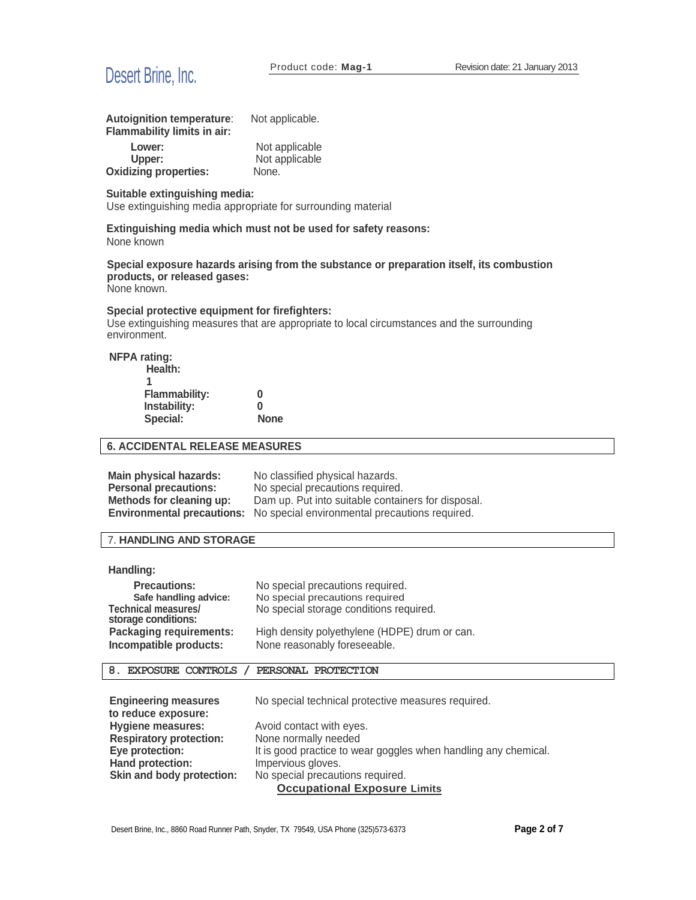

| Autoignition temperature:<br>Flammability limits in air: | Not applicable.                  |
|----------------------------------------------------------|----------------------------------|
| Lower:<br>Upper:                                         | Not applicable<br>Not applicable |
| <b>Oxidizing properties:</b>                             | None.                            |

#### **Suitable extinguishing media:**

Use extinguishing media appropriate for surrounding material

**Extinguishing media which must not be used for safety reasons:** None known

**Special exposure hazards arising from the substance or preparation itself, its combustion products, or released gases:**

None known.

#### **Special protective equipment for firefighters:**

Use extinguishing measures that are appropriate to local circumstances and the surrounding environment.

**NFPA rating:** 

| Health:              |             |
|----------------------|-------------|
| 1                    |             |
| <b>Flammability:</b> | 0           |
| Instability:         | 0           |
| Special:             | <b>None</b> |

# **6. ACCIDENTAL RELEASE MEASURES**

| Main physical hazards:       | No classified physical hazards.                                                  |
|------------------------------|----------------------------------------------------------------------------------|
| <b>Personal precautions:</b> | No special precautions required.                                                 |
| Methods for cleaning up:     | Dam up. Put into suitable containers for disposal.                               |
|                              | <b>Environmental precautions:</b> No special environmental precautions required. |

# 7. **HANDLING AND STORAGE**

#### **Handling:**

| <b>Precautions:</b>                                      | No special precautions required.                                              |
|----------------------------------------------------------|-------------------------------------------------------------------------------|
| Safe handling advice:                                    | No special precautions required                                               |
| <b>Technical measures/</b><br>storage conditions:        | No special storage conditions required.                                       |
| <b>Packaging requirements:</b><br>Incompatible products: | High density polyethylene (HDPE) drum or can.<br>None reasonably foreseeable. |

#### **8. EXPOSURE CONTROLS / PERSONAL PROTECTION**

| <b>Engineering measures</b>    | No special technical protective measures required.              |
|--------------------------------|-----------------------------------------------------------------|
| to reduce exposure:            |                                                                 |
| <b>Hygiene measures:</b>       | Avoid contact with eyes.                                        |
| <b>Respiratory protection:</b> | None normally needed                                            |
| Eye protection:                | It is good practice to wear goggles when handling any chemical. |
| Hand protection:               | Impervious gloves.                                              |
| Skin and body protection:      | No special precautions required.                                |
|                                | <b>Occupational Exposure Limits</b>                             |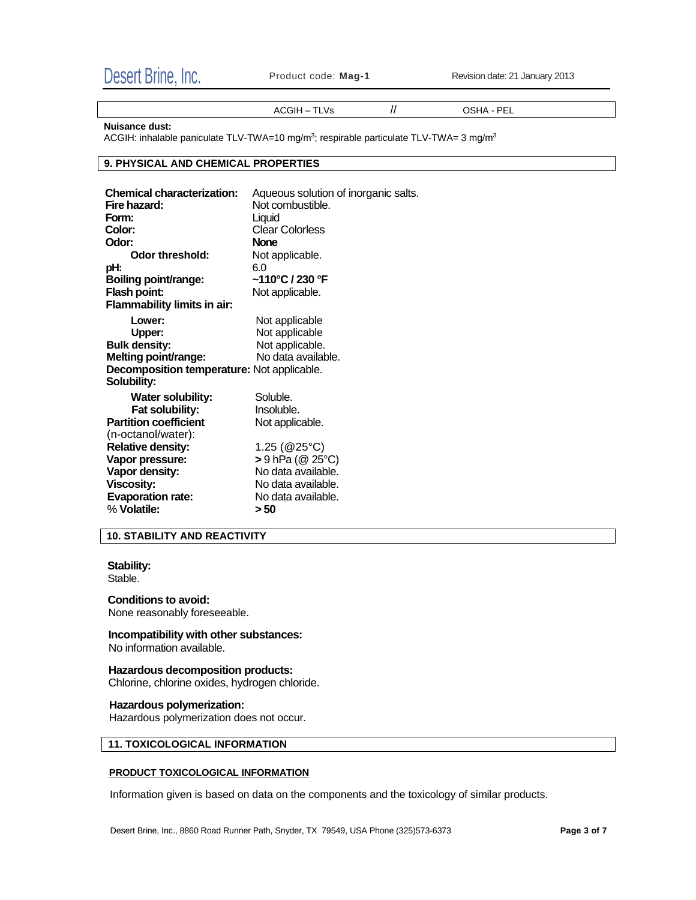

ACGIH – TLVs // OSHA - PEL

**Nuisance dust:**

ACGIH: inhalable paniculate TLV-TWA=10 mg/m<sup>3</sup>; respirable particulate TLV-TWA= 3 mg/m<sup>3</sup>

#### **9. PHYSICAL AND CHEMICAL PROPERTIES**

| Aqueous solution of inorganic salts.              |
|---------------------------------------------------|
| Not combustible.                                  |
| Liquid                                            |
| <b>Clear Colorless</b>                            |
| <b>None</b>                                       |
| Not applicable.                                   |
| 6.0                                               |
| ~110°C / 230 °F                                   |
| Not applicable.                                   |
|                                                   |
| Not applicable                                    |
| Not applicable                                    |
| Not applicable.                                   |
| No data available.                                |
| <b>Decomposition temperature: Not applicable.</b> |
|                                                   |
| Soluble.                                          |
| Insoluble.                                        |
| Not applicable.                                   |
|                                                   |
| 1.25 ( $@25°C$ )                                  |
| > 9 hPa (@ 25°C)                                  |
| No data available.                                |
| No data available.                                |
| No data available.                                |
| > 50                                              |
|                                                   |

#### **10. STABILITY AND REACTIVITY**

**Stability:** Stable.

# **Conditions to avoid:**

None reasonably foreseeable.

**Incompatibility with other substances:** No information available.

**Hazardous decomposition products:** Chlorine, chlorine oxides, hydrogen chloride.

#### **Hazardous polymerization:**

Hazardous polymerization does not occur.

#### **11. TOXICOLOGICAL INFORMATION**

#### **PRODUCT TOXICOLOGICAL INFORMATION**

Information given is based on data on the components and the toxicology of similar products.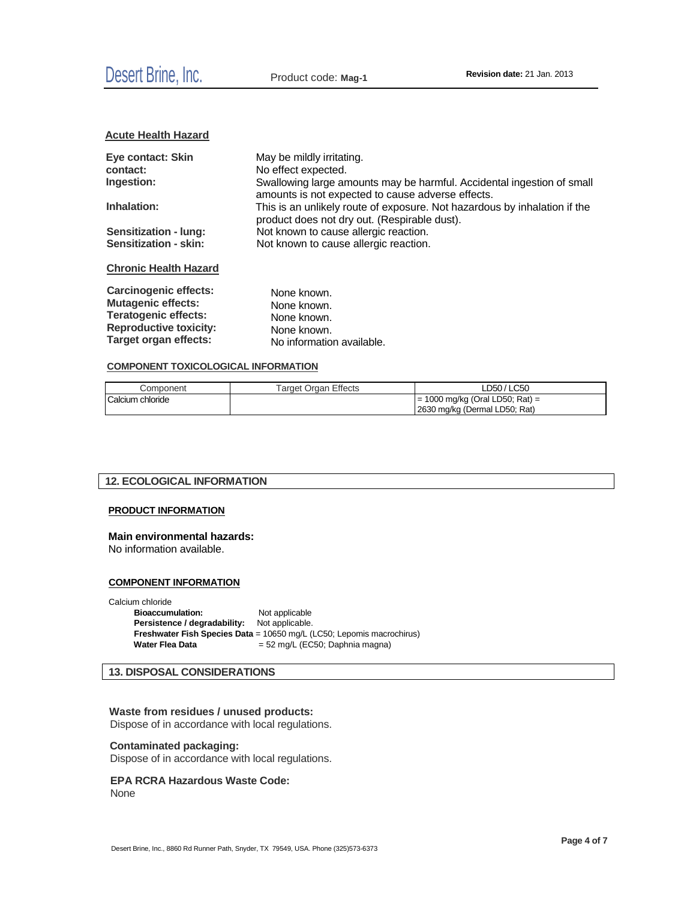#### **Acute Health Hazard**

| Eye contact: Skin            | May be mildly irritating.                                                                                                   |
|------------------------------|-----------------------------------------------------------------------------------------------------------------------------|
| contact:                     | No effect expected.                                                                                                         |
| Ingestion:                   | Swallowing large amounts may be harmful. Accidental ingestion of small<br>amounts is not expected to cause adverse effects. |
| Inhalation:                  | This is an unlikely route of exposure. Not hazardous by inhalation if the<br>product does not dry out. (Respirable dust).   |
| <b>Sensitization - lung:</b> | Not known to cause allergic reaction.                                                                                       |
| <b>Sensitization - skin:</b> | Not known to cause allergic reaction.                                                                                       |
| <b>Chronic Health Hazard</b> |                                                                                                                             |

| <b>Carcinogenic effects:</b>  | None known.               |
|-------------------------------|---------------------------|
| <b>Mutagenic effects:</b>     | None known.               |
| <b>Teratogenic effects:</b>   | None known.               |
| <b>Reproductive toxicity:</b> | None known.               |
| Target organ effects:         | No information available. |

#### **COMPONENT TOXICOLOGICAL INFORMATION**

| Component        | Target Organ Effects | LD50 / LC50                       |
|------------------|----------------------|-----------------------------------|
| Calcium chloride |                      | $= 1000$ mg/kg (Oral LD50; Rat) = |
|                  |                      | 2630 mg/kg (Dermal LD50; Rat)     |

# **12. ECOLOGICAL INFORMATION**

#### **PRODUCT INFORMATION**

#### **Main environmental hazards:**

No information available.

#### **COMPONENT INFORMATION**

Calcium chloride

**Bioaccumulation:** Not applicable **Persistence / degradability:** Not applicable. **Freshwater Fish Species Data** = 10650 mg/L (LC50; Lepomis macrochirus)<br>Water Flea Data = 52 mg/L (EC50; Daphnia magna) = 52 mg/L (EC50; Daphnia magna)

# **13. DISPOSAL CONSIDERATIONS**

#### **Waste from residues / unused products:** Dispose of in accordance with local regulations.

#### **Contaminated packaging:**

Dispose of in accordance with local regulations.

# **EPA RCRA Hazardous Waste Code:**

None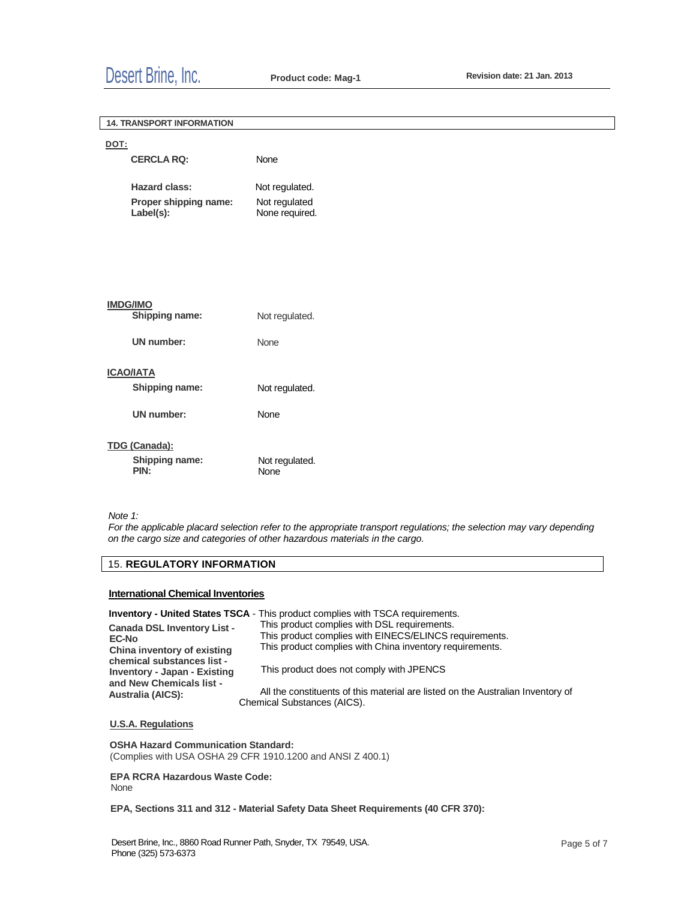# Desert Brine, Inc. **Product code: Mag-1 Revision date: 21 Jan. <sup>2013</sup>**

|      | <b>14. TRANSPORT INFORMATION</b>   |                                 |  |
|------|------------------------------------|---------------------------------|--|
| DOT: |                                    |                                 |  |
|      | <b>CERCLA RQ:</b>                  | None                            |  |
|      | <b>Hazard class:</b>               | Not regulated.                  |  |
|      | Proper shipping name:<br>Label(s): | Not regulated<br>None required. |  |
|      |                                    |                                 |  |
|      |                                    |                                 |  |
|      |                                    |                                 |  |
|      | <b>IMDG/IMO</b>                    |                                 |  |
|      | Shipping name:                     | Not regulated.                  |  |
|      | <b>UN number:</b>                  | None                            |  |
|      |                                    |                                 |  |
|      | <b>ICAO/IATA</b><br>Shipping name: | Not regulated.                  |  |
|      | <b>UN</b> number:                  |                                 |  |
|      |                                    | None                            |  |
|      | TDG (Canada):                      |                                 |  |
|      | Shipping name:<br>PIN:             | Not regulated.<br>None          |  |
|      |                                    |                                 |  |

*Note 1:*

*For the applicable placard selection refer to the appropriate transport regulations; the selection may vary depending on the cargo size and categories of other hazardous materials in the cargo.*

# 15. **REGULATORY INFORMATION**

#### **International Chemical Inventories**

**Inventory - United States TSCA** - This product complies with TSCA requirements.

| <b>Canada DSL Inventory List -</b>                         | This product complies with DSL requirements.                                    |
|------------------------------------------------------------|---------------------------------------------------------------------------------|
| <b>EC-No</b>                                               | This product complies with EINECS/ELINCS requirements.                          |
| China inventory of existing                                | This product complies with China inventory requirements.                        |
| chemical substances list -<br>Inventory - Japan - Existing | This product does not comply with JPENCS                                        |
| and New Chemicals list -                                   | All the constituents of this material are listed on the Australian Inventory of |
| <b>Australia (AICS):</b>                                   | Chemical Substances (AICS).                                                     |

# **U.S.A. Regulations**

**OSHA Hazard Communication Standard:** (Complies with USA OSHA 29 CFR 1910.1200 and ANSI Z 400.1)

**EPA RCRA Hazardous Waste Code:** None

#### **EPA, Sections 311 and 312 - Material Safety Data Sheet Requirements (40 CFR 370):**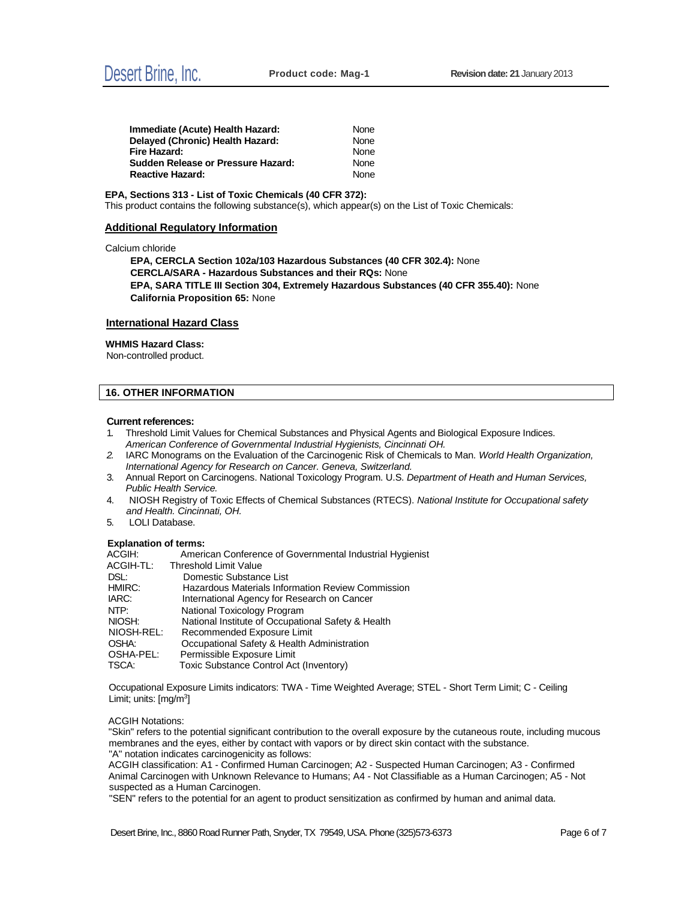| Immediate (Acute) Health Hazard:   | None |
|------------------------------------|------|
| Delayed (Chronic) Health Hazard:   | None |
| Fire Hazard:                       | None |
| Sudden Release or Pressure Hazard: | None |
| <b>Reactive Hazard:</b>            | None |

**EPA, Sections 313 - List of Toxic Chemicals (40 CFR 372):** This product contains the following substance(s), which appear(s) on the List of Toxic Chemicals:

#### **Additional Regulatory Information**

Calcium chloride

**EPA, CERCLA Section 102a/103 Hazardous Substances (40 CFR 302.4):** None **CERCLA/SARA - Hazardous Substances and their RQs:** None **EPA, SARA TITLE III Section 304, Extremely Hazardous Substances (40 CFR 355.40):** None **California Proposition 65:** None

#### **International Hazard Class**

#### **WHMIS Hazard Class:**

Non-controlled product.

#### **16. OTHER INFORMATION**

#### **Current references:**

- 1. Threshold Limit Values for Chemical Substances and Physical Agents and Biological Exposure Indices. *American Conference of Governmental Industrial Hygienists, Cincinnati OH.*
- *2.* IARC Monograms on the Evaluation of the Carcinogenic Risk of Chemicals to Man. *World Health Organization, International Agency for Research on Cancer. Geneva, Switzerland.*
- 3. Annual Report on Carcinogens. National Toxicology Program. U.S. *Department of Heath and Human Services, Public Health Service.*
- 4. NIOSH Registry of Toxic Effects of Chemical Substances (RTECS). *National Institute for Occupational safety and Health. Cincinnati, OH.*
- 5. LOLI Database.

#### **Explanation of terms:**

| <b>EXPRIMEDITION LETTIS:</b> |                                                          |
|------------------------------|----------------------------------------------------------|
| ACGIH:                       | American Conference of Governmental Industrial Hygienist |
| ACGIH-TL:                    | Threshold Limit Value                                    |
| DSL:                         | Domestic Substance List                                  |
| HMIRC:                       | Hazardous Materials Information Review Commission        |
| IARC:                        | International Agency for Research on Cancer              |
| NTP:                         | National Toxicology Program                              |
| NIOSH:                       | National Institute of Occupational Safety & Health       |
| NIOSH-REL:                   | Recommended Exposure Limit                               |
| OSHA:                        | Occupational Safety & Health Administration              |
| OSHA-PEL:                    | Permissible Exposure Limit                               |
| TSCA:                        | Toxic Substance Control Act (Inventory)                  |
|                              |                                                          |

Occupational Exposure Limits indicators: TWA - Time Weighted Average; STEL - Short Term Limit; C - Ceiling Limit; units: [mg/m<sup>3</sup>]

#### ACGIH Notations:

"Skin" refers to the potential significant contribution to the overall exposure by the cutaneous route, including mucous membranes and the eyes, either by contact with vapors or by direct skin contact with the substance. "A" notation indicates carcinogenicity as follows:

ACGIH classification: A1 - Confirmed Human Carcinogen; A2 - Suspected Human Carcinogen; A3 - Confirmed Animal Carcinogen with Unknown Relevance to Humans; A4 - Not Classifiable as a Human Carcinogen; A5 - Not suspected as a Human Carcinogen.

"SEN" refers to the potential for an agent to product sensitization as confirmed by human and animal data.